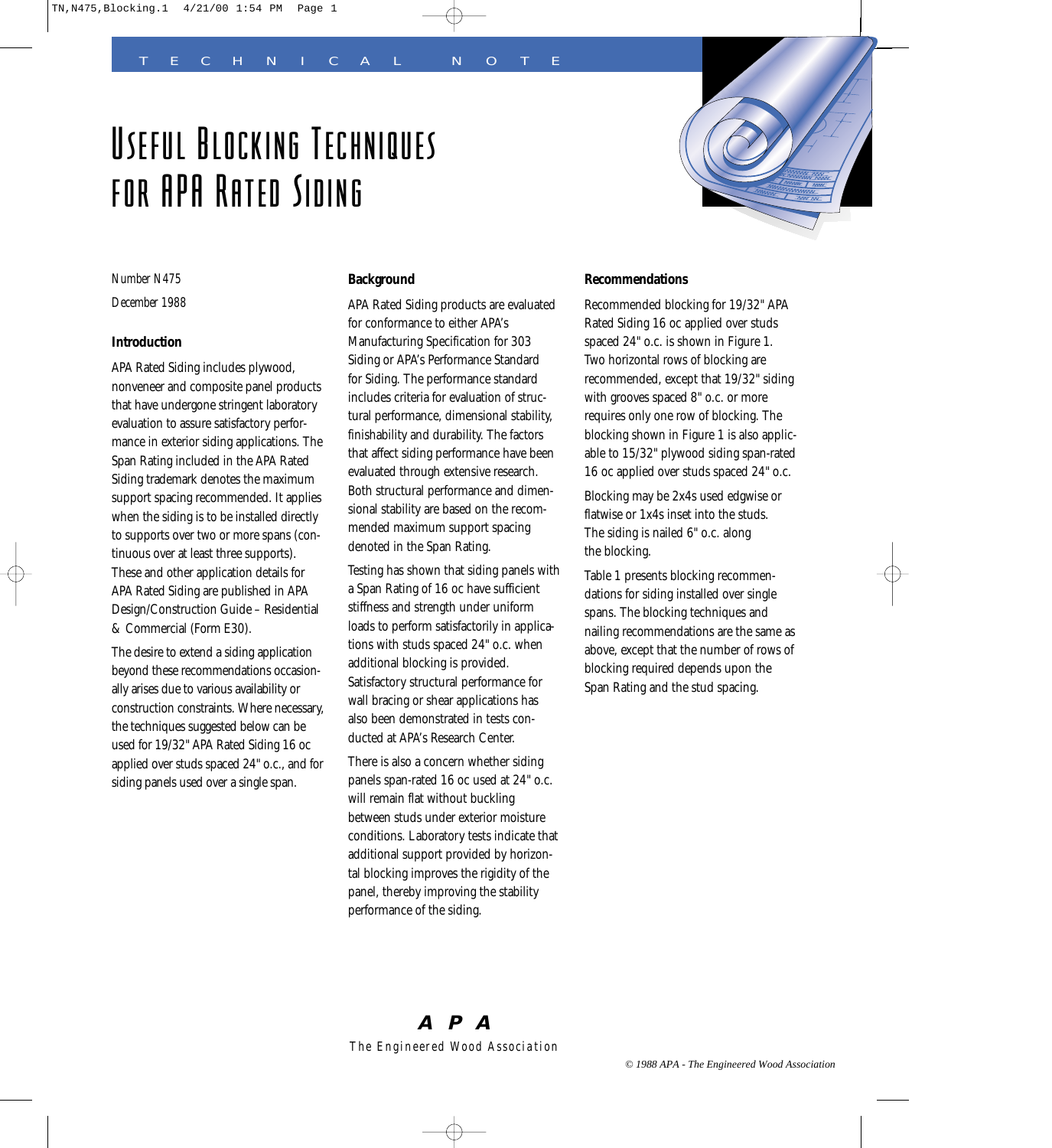# Useful Blocking Techniques for APA Rated Siding



*Number N475*

*December 1988*

# **Introduction**

APA Rated Siding includes plywood, nonveneer and composite panel products that have undergone stringent laboratory evaluation to assure satisfactory performance in exterior siding applications. The Span Rating included in the APA Rated Siding trademark denotes the maximum support spacing recommended. It applies when the siding is to be installed directly to supports over two or more spans (continuous over at least three supports). These and other application details for APA Rated Siding are published in APA Design/Construction Guide – Residential & Commercial (Form E30).

The desire to extend a siding application beyond these recommendations occasionally arises due to various availability or construction constraints. Where necessary, the techniques suggested below can be used for 19/32" APA Rated Siding 16 oc applied over studs spaced 24" o.c., and for siding panels used over a single span.

# **Background**

APA Rated Siding products are evaluated for conformance to either APA's Manufacturing Specification for 303 Siding or APA's Performance Standard for Siding. The performance standard includes criteria for evaluation of structural performance, dimensional stability, finishability and durability. The factors that affect siding performance have been evaluated through extensive research. Both structural performance and dimensional stability are based on the recommended maximum support spacing denoted in the Span Rating.

Testing has shown that siding panels with a Span Rating of 16 oc have sufficient stiffness and strength under uniform loads to perform satisfactorily in applications with studs spaced 24" o.c. when additional blocking is provided. Satisfactory structural performance for wall bracing or shear applications has also been demonstrated in tests conducted at APA's Research Center.

There is also a concern whether siding panels span-rated 16 oc used at 24" o.c. will remain flat without buckling between studs under exterior moisture conditions. Laboratory tests indicate that additional support provided by horizontal blocking improves the rigidity of the panel, thereby improving the stability performance of the siding.

# **Recommendations**

Recommended blocking for 19/32" APA Rated Siding 16 oc applied over studs spaced 24" o.c. is shown in Figure 1. Two horizontal rows of blocking are recommended, except that 19/32" siding with grooves spaced 8" o.c. or more requires only one row of blocking. The blocking shown in Figure 1 is also applicable to 15/32" plywood siding span-rated 16 oc applied over studs spaced 24" o.c.

Blocking may be 2x4s used edgwise or flatwise or 1x4s inset into the studs. The siding is nailed 6" o.c. along the blocking.

Table 1 presents blocking recommendations for siding installed over single spans. The blocking techniques and nailing recommendations are the same as above, except that the number of rows of blocking required depends upon the Span Rating and the stud spacing.